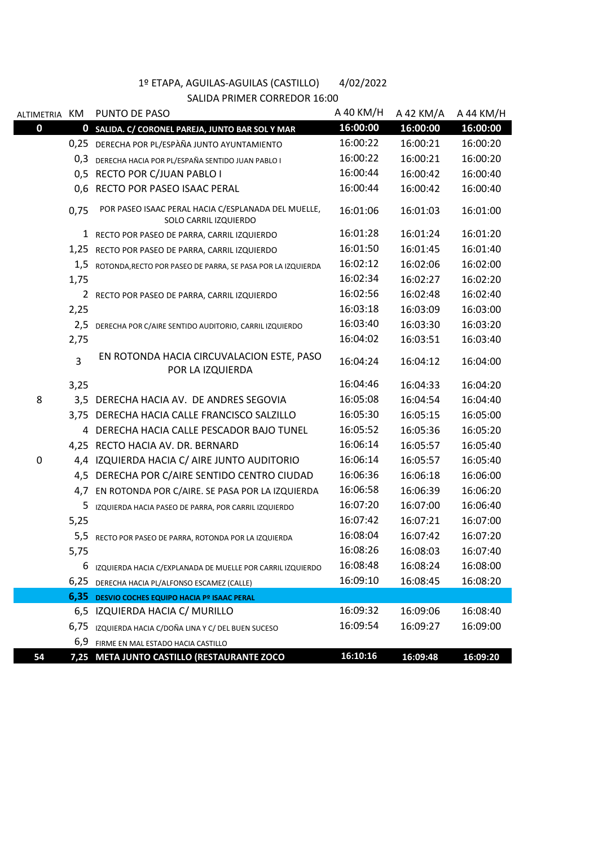| ALTIMETRIA KM |                | PUNTO DE PASO                                                                | A 40 KM/H | A 42 KM/A | A 44 KM/H |
|---------------|----------------|------------------------------------------------------------------------------|-----------|-----------|-----------|
| 0             | $\mathbf 0$    | SALIDA. C/ CORONEL PAREJA, JUNTO BAR SOL Y MAR                               | 16:00:00  | 16:00:00  | 16:00:00  |
|               | 0,25           | DERECHA POR PL/ESPÀÑA JUNTO AYUNTAMIENTO                                     | 16:00:22  | 16:00:21  | 16:00:20  |
|               | 0,3            | DERECHA HACIA POR PL/ESPAÑA SENTIDO JUAN PABLO I                             | 16:00:22  | 16:00:21  | 16:00:20  |
|               | 0,5            | RECTO POR C/JUAN PABLO I                                                     | 16:00:44  | 16:00:42  | 16:00:40  |
|               | 0,6            | RECTO POR PASEO ISAAC PERAL                                                  | 16:00:44  | 16:00:42  | 16:00:40  |
|               | 0,75           | POR PASEO ISAAC PERAL HACIA C/ESPLANADA DEL MUELLE,<br>SOLO CARRIL IZQUIERDO | 16:01:06  | 16:01:03  | 16:01:00  |
|               |                | 1 RECTO POR PASEO DE PARRA, CARRIL IZQUIERDO                                 | 16:01:28  | 16:01:24  | 16:01:20  |
|               | 1,25           | RECTO POR PASEO DE PARRA, CARRIL IZQUIERDO                                   | 16:01:50  | 16:01:45  | 16:01:40  |
|               | 1,5            | ROTONDA, RECTO POR PASEO DE PARRA, SE PASA POR LA IZQUIERDA                  | 16:02:12  | 16:02:06  | 16:02:00  |
|               | 1,75           |                                                                              | 16:02:34  | 16:02:27  | 16:02:20  |
|               | 2              | RECTO POR PASEO DE PARRA, CARRIL IZQUIERDO                                   | 16:02:56  | 16:02:48  | 16:02:40  |
|               | 2,25           |                                                                              | 16:03:18  | 16:03:09  | 16:03:00  |
|               | 2,5            | DERECHA POR C/AIRE SENTIDO AUDITORIO, CARRIL IZQUIERDO                       | 16:03:40  | 16:03:30  | 16:03:20  |
|               | 2,75           |                                                                              | 16:04:02  | 16:03:51  | 16:03:40  |
|               | $\overline{3}$ | EN ROTONDA HACIA CIRCUVALACION ESTE, PASO<br>POR LA IZQUIERDA                | 16:04:24  | 16:04:12  | 16:04:00  |
|               | 3,25           |                                                                              | 16:04:46  | 16:04:33  | 16:04:20  |
| 8             |                | 3,5 DERECHA HACIA AV. DE ANDRES SEGOVIA                                      | 16:05:08  | 16:04:54  | 16:04:40  |
|               |                | 3,75 DERECHA HACIA CALLE FRANCISCO SALZILLO                                  | 16:05:30  | 16:05:15  | 16:05:00  |
|               | 4              | DERECHA HACIA CALLE PESCADOR BAJO TUNEL                                      | 16:05:52  | 16:05:36  | 16:05:20  |
|               |                | 4,25 RECTO HACIA AV. DR. BERNARD                                             | 16:06:14  | 16:05:57  | 16:05:40  |
| 0             |                | 4,4 IZQUIERDA HACIA C/ AIRE JUNTO AUDITORIO                                  | 16:06:14  | 16:05:57  | 16:05:40  |
|               |                | 4,5 DERECHA POR C/AIRE SENTIDO CENTRO CIUDAD                                 | 16:06:36  | 16:06:18  | 16:06:00  |
|               | 4,7            | EN ROTONDA POR C/AIRE. SE PASA POR LA IZQUIERDA                              | 16:06:58  | 16:06:39  | 16:06:20  |
|               | 5              | IZQUIERDA HACIA PASEO DE PARRA, POR CARRIL IZQUIERDO                         | 16:07:20  | 16:07:00  | 16:06:40  |
|               | 5,25           |                                                                              | 16:07:42  | 16:07:21  | 16:07:00  |
|               | 5,5            | RECTO POR PASEO DE PARRA, ROTONDA POR LA IZQUIERDA                           | 16:08:04  | 16:07:42  | 16:07:20  |
|               | 5,75           |                                                                              | 16:08:26  | 16:08:03  | 16:07:40  |
|               | 6              | IZQUIERDA HACIA C/EXPLANADA DE MUELLE POR CARRIL IZQUIERDO                   | 16:08:48  | 16:08:24  | 16:08:00  |
|               | 6,25           | DERECHA HACIA PL/ALFONSO ESCAMEZ (CALLE)                                     | 16:09:10  | 16:08:45  | 16:08:20  |
|               | 6,35           | DESVIO COCHES EQUIPO HACIA Pº ISAAC PERAL                                    |           |           |           |
|               |                | 6,5 IZQUIERDA HACIA C/ MURILLO                                               | 16:09:32  | 16:09:06  | 16:08:40  |
|               | 6,75           | IZQUIERDA HACIA C/DOÑA LINA Y C/ DEL BUEN SUCESO                             | 16:09:54  | 16:09:27  | 16:09:00  |
|               | 6,9            | FIRME EN MAL ESTADO HACIA CASTILLO                                           |           |           |           |
| 54            |                | 7,25 META JUNTO CASTILLO (RESTAURANTE ZOCO                                   | 16:10:16  | 16:09:48  | 16:09:20  |

## 1º ETAPA, AGUILAS-AGUILAS (CASTILLO) 4/02/2022 SALIDA PRIMER CORREDOR 16:00